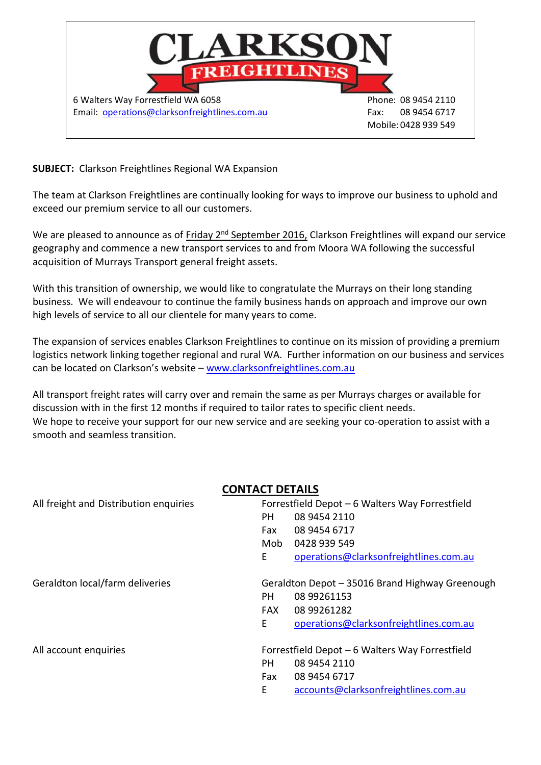

### **SUBJECT:** Clarkson Freightlines Regional WA Expansion

The team at Clarkson Freightlines are continually looking for ways to improve our business to uphold and exceed our premium service to all our customers.

We are pleased to announce as of Friday 2<sup>nd</sup> September 2016, Clarkson Freightlines will expand our service geography and commence a new transport services to and from Moora WA following the successful acquisition of Murrays Transport general freight assets.

With this transition of ownership, we would like to congratulate the Murrays on their long standing business. We will endeavour to continue the family business hands on approach and improve our own high levels of service to all our clientele for many years to come.

The expansion of services enables Clarkson Freightlines to continue on its mission of providing a premium logistics network linking together regional and rural WA. Further information on our business and services can be located on Clarkson's website - [www.clarksonfreightlines.com.au](http://www.clarksonfreightlines.com.au/)

All transport freight rates will carry over and remain the same as per Murrays charges or available for discussion with in the first 12 months if required to tailor rates to specific client needs. We hope to receive your support for our new service and are seeking your co-operation to assist with a smooth and seamless transition.

## **CONTACT DETAILS**

| All freight and Distribution enquiries |                                                 | Forrestfield Depot - 6 Walters Way Forrestfield |  |
|----------------------------------------|-------------------------------------------------|-------------------------------------------------|--|
|                                        | PH                                              | 08 9454 2110                                    |  |
|                                        | Fax                                             | 08 9454 6717                                    |  |
|                                        | Mob                                             | 0428 939 549                                    |  |
|                                        | E                                               | operations@clarksonfreightlines.com.au          |  |
| Geraldton local/farm deliveries        | Geraldton Depot - 35016 Brand Highway Greenough |                                                 |  |
|                                        | PH.                                             | 08 99261153                                     |  |
|                                        | FAX                                             | 08 99261282                                     |  |
|                                        | E.                                              | operations@clarksonfreightlines.com.au          |  |
| All account enquiries                  |                                                 | Forrestfield Depot - 6 Walters Way Forrestfield |  |
|                                        | PH                                              | 08 9454 2110                                    |  |
|                                        | Fax                                             | 08 9454 6717                                    |  |
|                                        | E                                               | accounts@clarksonfreightlines.com.au            |  |